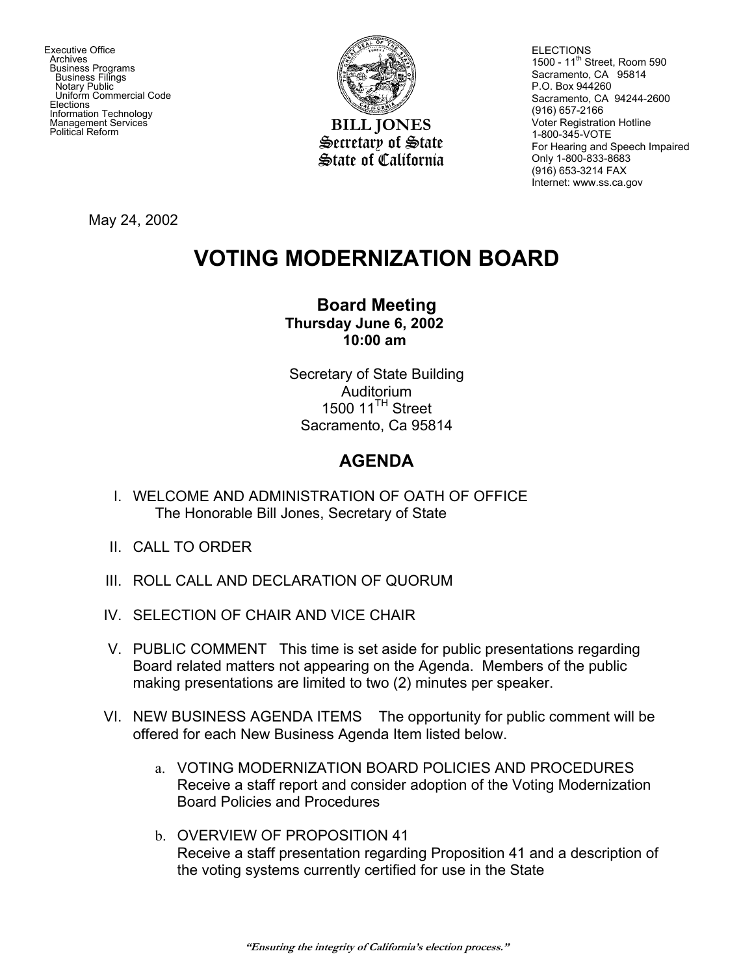Executive Office **Archives**  Business Programs Business Filings Notary Public Uniform Commercial Code **Elections**  Information Technology Management Services



**BILL JONES** Secretary of State State of California **ELECTIONS** 1500 - 11<sup>th</sup> Street, Room 590 Sacramento, CA 95814 P.O. Box 944260 Sacramento, CA 94244-2600 (916) 657-2166 Voter Registration Hotline 1-800-345-VOTE For Hearing and Speech Impaired Only 1-800-833-8683 (916) 653-3214 FAX Internet: www.ss.ca.gov

May 24, 2002

## **VOTING MODERNIZATION BOARD**

## **Board Meeting Thursday June 6, 2002 10:00 am**

Secretary of State Building Auditorium 1500 11<sup>TH</sup> Street Sacramento, Ca 95814

## **AGENDA**

- I. WELCOME AND ADMINISTRATION OF OATH OF OFFICE The Honorable Bill Jones, Secretary of State
- II. CALL TO ORDER
- III. ROLL CALL AND DECLARATION OF QUORUM
- IV. SELECTION OF CHAIR AND VICE CHAIR
- V. PUBLIC COMMENT This time is set aside for public presentations regarding Board related matters not appearing on the Agenda. Members of the public making presentations are limited to two (2) minutes per speaker.
- VI. NEW BUSINESS AGENDA ITEMS The opportunity for public comment will be offered for each New Business Agenda Item listed below.
	- a. VOTING MODERNIZATION BOARD POLICIES AND PROCEDURES Receive a staff report and consider adoption of the Voting Modernization Board Policies and Procedures
	- b. OVERVIEW OF PROPOSITION 41 Receive a staff presentation regarding Proposition 41 and a description of the voting systems currently certified for use in the State